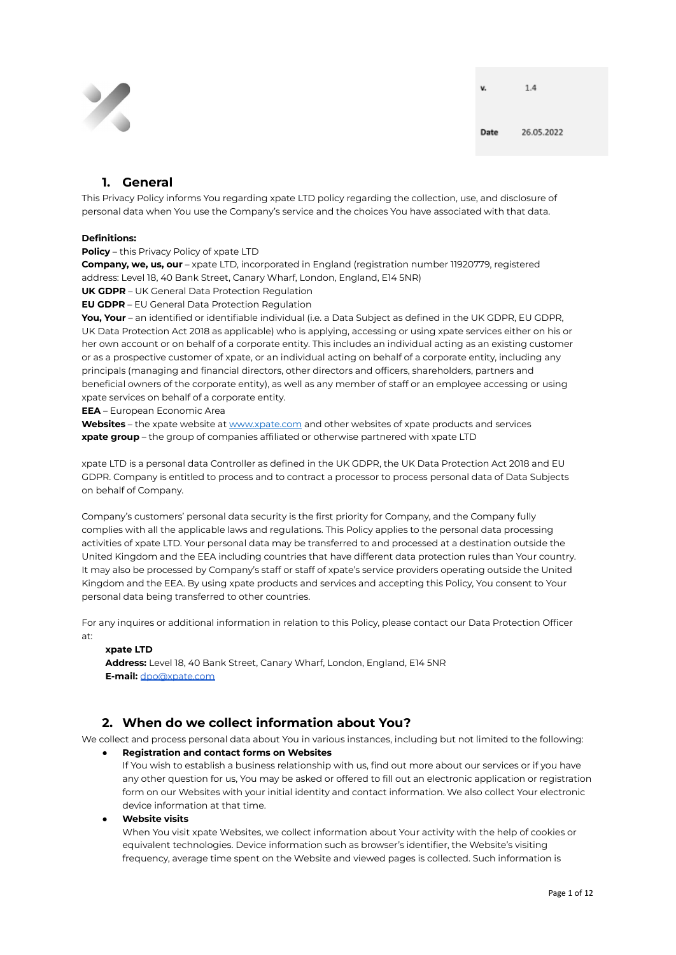

v.

## **1. General**

This Privacy Policy informs You regarding xpate LTD policy regarding the collection, use, and disclosure of personal data when You use the Company's service and the choices You have associated with that data.

## **Definitions:**

#### **Policy** – this Privacy Policy of xpate LTD

**Company, we, us, our** – xpate LTD, incorporated in England (registration number 11920779, registered address: Level 18, 40 Bank Street, Canary Wharf, London, England, E14 5NR)

**UK GDPR** – UK General Data Protection Regulation

**EU GDPR** – EU General Data Protection Regulation

**You, Your** – an identified or identifiable individual (i.e. a Data Subject as defined in the UK GDPR, EU GDPR, UK Data Protection Act 2018 as applicable) who is applying, accessing or using xpate services either on his or her own account or on behalf of a corporate entity. This includes an individual acting as an existing customer or as a prospective customer of xpate, or an individual acting on behalf of a corporate entity, including any principals (managing and financial directors, other directors and officers, shareholders, partners and beneficial owners of the corporate entity), as well as any member of staff or an employee accessing or using xpate services on behalf of a corporate entity.

**EEA** – European Economic Area

**Websites** – the xpate website at [www.xpate.com](http://www.xpate.com) and other websites of xpate products and services **xpate group** – the group of companies affiliated or otherwise partnered with xpate LTD

xpate LTD is a personal data Controller as defined in the UK GDPR, the UK Data Protection Act 2018 and EU GDPR. Company is entitled to process and to contract a processor to process personal data of Data Subjects on behalf of Company.

Company's customers' personal data security is the first priority for Company, and the Company fully complies with all the applicable laws and regulations. This Policy applies to the personal data processing activities of xpate LTD. Your personal data may be transferred to and processed at a destination outside the United Kingdom and the EEA including countries that have different data protection rules than Your country. It may also be processed by Company's staff or staff of xpate's service providers operating outside the United Kingdom and the EEA. By using xpate products and services and accepting this Policy, You consent to Your personal data being transferred to other countries.

For any inquires or additional information in relation to this Policy, please contact our Data Protection Officer at:

#### **xpate LTD**

**Address:** Level 18, 40 Bank Street, Canary Wharf, London, England, E14 5NR **E-mail:** [dpo@xpate.com](mailto:dpo@xpate.com)

# **2. When do we collect information about You?**

We collect and process personal data about You in various instances, including but not limited to the following:

- **Registration and contact forms on Websites** If You wish to establish a business relationship with us, find out more about our services or if you have any other question for us, You may be asked or offered to fill out an electronic application or registration form on our Websites with your initial identity and contact information. We also collect Your electronic device information at that time.
- **Website visits**

When You visit xpate Websites, we collect information about Your activity with the help of cookies or equivalent technologies. Device information such as browser's identifier, the Website's visiting frequency, average time spent on the Website and viewed pages is collected. Such information is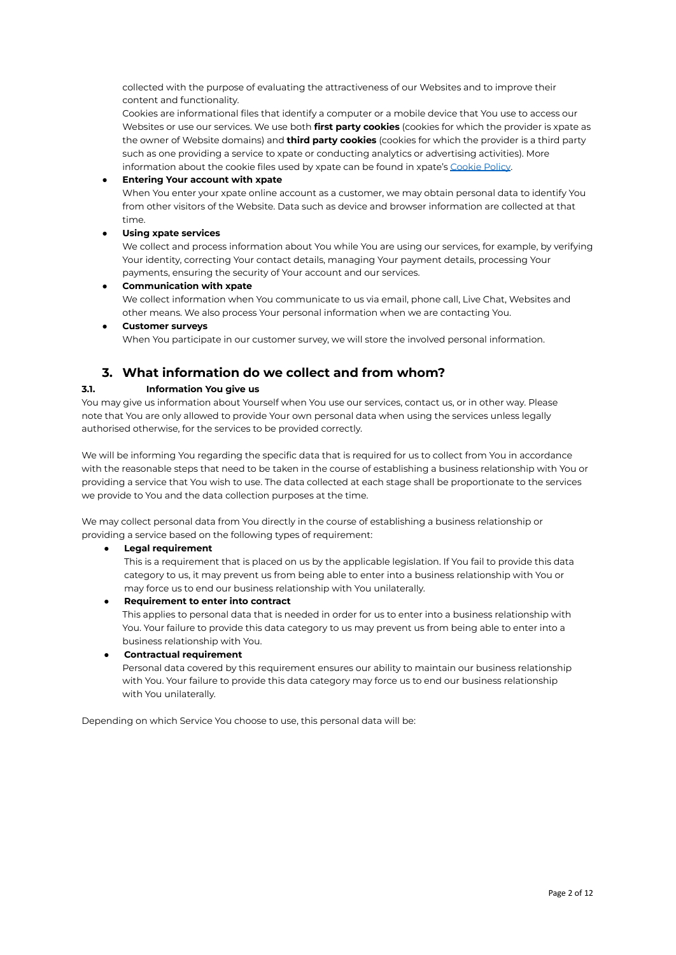collected with the purpose of evaluating the attractiveness of our Websites and to improve their content and functionality.

Cookies are informational files that identify a computer or a mobile device that You use to access our Websites or use our services. We use both **first party cookies** (cookies for which the provider is xpate as the owner of Website domains) and **third party cookies** (cookies for which the provider is a third party such as one providing a service to xpate or conducting analytics or advertising activities). More information about the cookie files used by xpate can be found in xpate's [Cookie](https://xpate.com/cookie-policy) Policy.

### ● **Entering Your account with xpate**

When You enter your xpate online account as a customer, we may obtain personal data to identify You from other visitors of the Website. Data such as device and browser information are collected at that time.

## ● **Using xpate services**

We collect and process information about You while You are using our services, for example, by verifying Your identity, correcting Your contact details, managing Your payment details, processing Your payments, ensuring the security of Your account and our services.

## **Communication with xpate**

We collect information when You communicate to us via email, phone call, Live Chat, Websites and other means. We also process Your personal information when we are contacting You.

● **Customer surveys**

When You participate in our customer survey, we will store the involved personal information.

## **3. What information do we collect and from whom?**

## **3.1. Information You give us**

You may give us information about Yourself when You use our services, contact us, or in other way. Please note that You are only allowed to provide Your own personal data when using the services unless legally authorised otherwise, for the services to be provided correctly.

We will be informing You regarding the specific data that is required for us to collect from You in accordance with the reasonable steps that need to be taken in the course of establishing a business relationship with You or providing a service that You wish to use. The data collected at each stage shall be proportionate to the services we provide to You and the data collection purposes at the time.

We may collect personal data from You directly in the course of establishing a business relationship or providing a service based on the following types of requirement:

#### **● Legal requirement**

This is a requirement that is placed on us by the applicable legislation. If You fail to provide this data category to us, it may prevent us from being able to enter into a business relationship with You or may force us to end our business relationship with You unilaterally.

#### **● Requirement to enter into contract**

This applies to personal data that is needed in order for us to enter into a business relationship with You. Your failure to provide this data category to us may prevent us from being able to enter into a business relationship with You.

**● Contractual requirement**

Personal data covered by this requirement ensures our ability to maintain our business relationship with You. Your failure to provide this data category may force us to end our business relationship with You unilaterally.

Depending on which Service You choose to use, this personal data will be: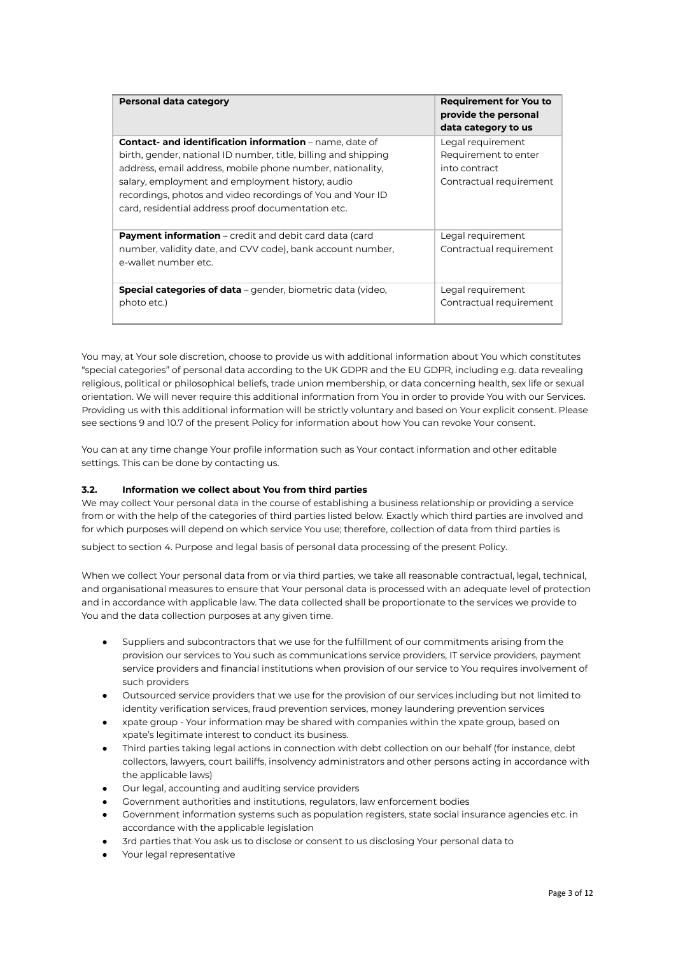| Personal data category                                                                                                                                                                                                                                                                                                                                                | <b>Requirement for You to</b><br>provide the personal<br>data category to us          |
|-----------------------------------------------------------------------------------------------------------------------------------------------------------------------------------------------------------------------------------------------------------------------------------------------------------------------------------------------------------------------|---------------------------------------------------------------------------------------|
| <b>Contact- and identification information</b> – name, date of<br>birth, gender, national ID number, title, billing and shipping<br>address, email address, mobile phone number, nationality,<br>salary, employment and employment history, audio<br>recordings, photos and video recordings of You and Your ID<br>card, residential address proof documentation etc. | Legal requirement<br>Requirement to enter<br>into contract<br>Contractual requirement |
| <b>Payment information</b> – credit and debit card data (card<br>number, validity date, and CVV code), bank account number,<br>e-wallet number etc.                                                                                                                                                                                                                   | Legal requirement<br>Contractual requirement                                          |
| <b>Special categories of data</b> – gender, biometric data (video,<br>photo etc.)                                                                                                                                                                                                                                                                                     | Legal requirement<br>Contractual requirement                                          |

You may, at Your sole discretion, choose to provide us with additional information about You which constitutes "special categories" of personal data according to the UK GDPR and the EU GDPR, including e.g. data revealing religious, political or philosophical beliefs, trade union membership, or data concerning health, sex life or sexual orientation. We will never require this additional information from You in order to provide You with our Services. Providing us with this additional information will be strictly voluntary and based on Your explicit consent. Please see sections 9 and 10.7 of the present Policy for information about how You can revoke Your consent.

You can at any time change Your profile information such as Your contact information and other editable settings. This can be done by contacting us.

#### **3.2. Information we collect about You from third parties**

We may collect Your personal data in the course of establishing a business relationship or providing a service from or with the help of the categories of third parties listed below. Exactly which third parties are involved and for which purposes will depend on which service You use; therefore, collection of data from third parties is

subject to section 4. Purpose and legal basis of personal data processing of the present Policy.

When we collect Your personal data from or via third parties, we take all reasonable contractual, legal, technical, and organisational measures to ensure that Your personal data is processed with an adequate level of protection and in accordance with applicable law. The data collected shall be proportionate to the services we provide to You and the data collection purposes at any given time.

- Suppliers and subcontractors that we use for the fulfillment of our commitments arising from the provision our services to You such as communications service providers, IT service providers, payment service providers and financial institutions when provision of our service to You requires involvement of such providers
- Outsourced service providers that we use for the provision of our services including but not limited to identity verification services, fraud prevention services, money laundering prevention services
- xpate group Your information may be shared with companies within the xpate group, based on xpate's legitimate interest to conduct its business.
- Third parties taking legal actions in connection with debt collection on our behalf (for instance, debt collectors, lawyers, court bailiffs, insolvency administrators and other persons acting in accordance with the applicable laws)
- Our legal, accounting and auditing service providers
- Government authorities and institutions, regulators, law enforcement bodies
- Government information systems such as population registers, state social insurance agencies etc. in accordance with the applicable legislation
- 3rd parties that You ask us to disclose or consent to us disclosing Your personal data to
- Your legal representative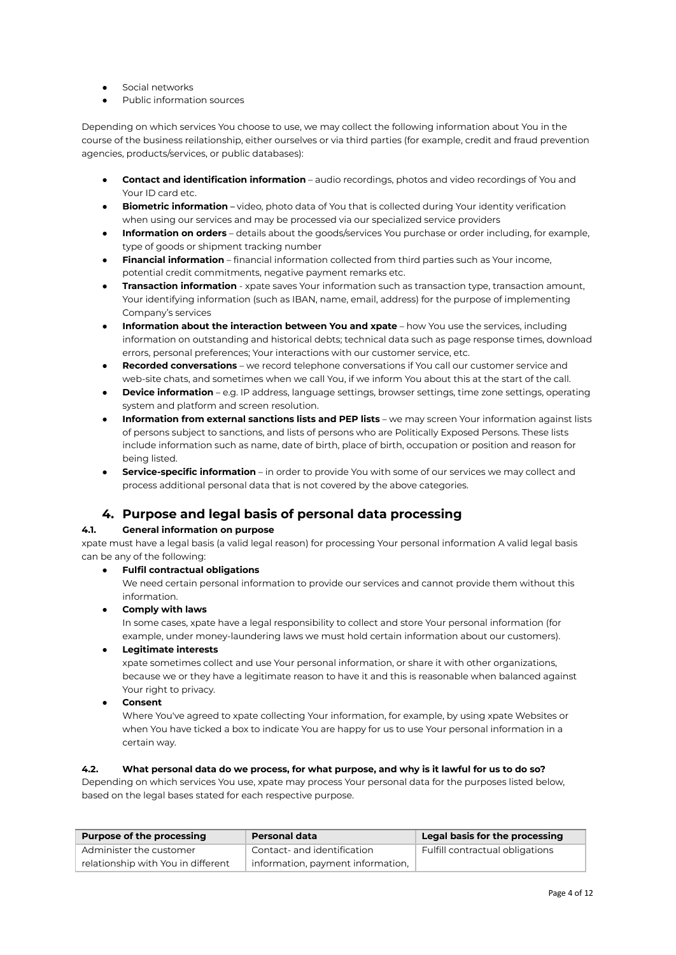- Social networks
- Public information sources

Depending on which services You choose to use, we may collect the following information about You in the course of the business reilationship, either ourselves or via third parties (for example, credit and fraud prevention agencies, products/services, or public databases):

- **Contact and identification information** audio recordings, photos and video recordings of You and Your ID card etc.
- **Biometric information** video, photo data of You that is collected during Your identity verification when using our services and may be processed via our specialized service providers
- **Information on orders** details about the goods/services You purchase or order including, for example, type of goods or shipment tracking number
- **Financial information** financial information collected from third parties such as Your income, potential credit commitments, negative payment remarks etc.
- **Transaction information** xpate saves Your information such as transaction type, transaction amount, Your identifying information (such as IBAN, name, email, address) for the purpose of implementing Company's services
- **Information about the interaction between You and xpate** how You use the services, including information on outstanding and historical debts; technical data such as page response times, download errors, personal preferences; Your interactions with our customer service, etc.
- **Recorded conversations** we record telephone conversations if You call our customer service and web-site chats, and sometimes when we call You, if we inform You about this at the start of the call.
- **Device information** e.g. IP address, language settings, browser settings, time zone settings, operating system and platform and screen resolution.
- **Information from external sanctions lists and PEP lists** we may screen Your information against lists of persons subject to sanctions, and lists of persons who are Politically Exposed Persons. These lists include information such as name, date of birth, place of birth, occupation or position and reason for being listed.
- **Service-specific information** in order to provide You with some of our services we may collect and process additional personal data that is not covered by the above categories.

## **4. Purpose and legal basis of personal data processing**

## **4.1. General information on purpose**

xpate must have a legal basis (a valid legal reason) for processing Your personal information A valid legal basis can be any of the following:

#### **● Fulfil contractual obligations**

We need certain personal information to provide our services and cannot provide them without this information.

#### **● Comply with laws**

In some cases, xpate have a legal responsibility to collect and store Your personal information (for example, under money-laundering laws we must hold certain information about our customers).

## **● Legitimate interests**

xpate sometimes collect and use Your personal information, or share it with other organizations, because we or they have a legitimate reason to have it and this is reasonable when balanced against Your right to privacy.

**● Consent**

Where You've agreed to xpate collecting Your information, for example, by using xpate Websites or when You have ticked a box to indicate You are happy for us to use Your personal information in a certain way.

#### 4.2. What personal data do we process, for what purpose, and why is it lawful for us to do so?

Depending on which services You use, xpate may process Your personal data for the purposes listed below, based on the legal bases stated for each respective purpose.

| <b>Purpose of the processing</b>   | Personal data                     | Legal basis for the processing  |
|------------------------------------|-----------------------------------|---------------------------------|
| Administer the customer            | Contact- and identification       | Fulfill contractual obligations |
| relationship with You in different | information, payment information, |                                 |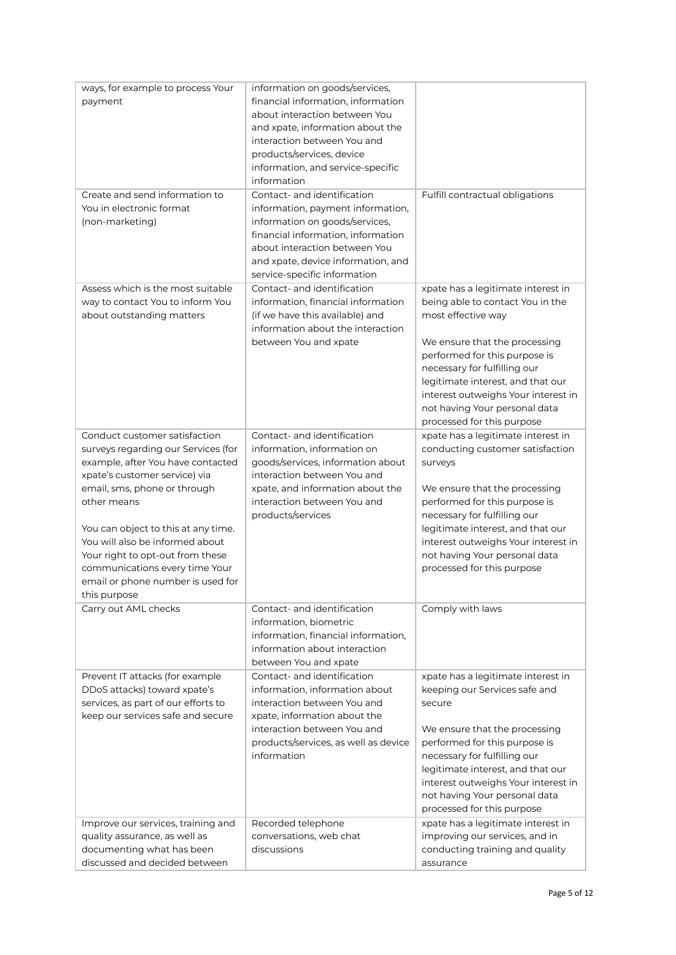| ways, for example to process Your                          | information on goods/services,                      |                                                                      |
|------------------------------------------------------------|-----------------------------------------------------|----------------------------------------------------------------------|
| payment                                                    | financial information, information                  |                                                                      |
|                                                            | about interaction between You                       |                                                                      |
|                                                            | and xpate, information about the                    |                                                                      |
|                                                            | interaction between You and                         |                                                                      |
|                                                            | products/services, device                           |                                                                      |
|                                                            | information, and service-specific                   |                                                                      |
|                                                            | information                                         |                                                                      |
| Create and send information to                             | Contact- and identification                         | Fulfill contractual obligations                                      |
| You in electronic format                                   | information, payment information,                   |                                                                      |
| (non-marketing)                                            | information on goods/services,                      |                                                                      |
|                                                            | financial information, information                  |                                                                      |
|                                                            | about interaction between You                       |                                                                      |
|                                                            | and xpate, device information, and                  |                                                                      |
|                                                            | service-specific information                        |                                                                      |
| Assess which is the most suitable                          | Contact- and identification                         | xpate has a legitimate interest in                                   |
| way to contact You to inform You                           | information, financial information                  | being able to contact You in the                                     |
| about outstanding matters                                  | (if we have this available) and                     | most effective way                                                   |
|                                                            | information about the interaction                   |                                                                      |
|                                                            | between You and xpate                               | We ensure that the processing                                        |
|                                                            |                                                     | performed for this purpose is                                        |
|                                                            |                                                     | necessary for fulfilling our                                         |
|                                                            |                                                     | legitimate interest, and that our                                    |
|                                                            |                                                     | interest outweighs Your interest in                                  |
|                                                            |                                                     | not having Your personal data                                        |
|                                                            |                                                     | processed for this purpose                                           |
| Conduct customer satisfaction                              | Contact- and identification                         | xpate has a legitimate interest in                                   |
| surveys regarding our Services (for                        | information, information on                         | conducting customer satisfaction                                     |
| example, after You have contacted                          | goods/services, information about                   | surveys                                                              |
| xpate's customer service) via                              | interaction between You and                         |                                                                      |
| email, sms, phone or through                               | xpate, and information about the                    | We ensure that the processing                                        |
| other means                                                | interaction between You and                         | performed for this purpose is                                        |
|                                                            | products/services                                   | necessary for fulfilling our                                         |
| You can object to this at any time.                        |                                                     | legitimate interest, and that our                                    |
| You will also be informed about                            |                                                     | interest outweighs Your interest in                                  |
| Your right to opt-out from these                           |                                                     | not having Your personal data                                        |
| communications every time Your                             |                                                     | processed for this purpose                                           |
| email or phone number is used for                          |                                                     |                                                                      |
| this purpose                                               |                                                     |                                                                      |
| Carry out AML checks                                       | Contact- and identification                         | Comply with laws                                                     |
|                                                            | information, biometric                              |                                                                      |
|                                                            | information, financial information,                 |                                                                      |
|                                                            | information about interaction                       |                                                                      |
|                                                            | between You and xpate                               |                                                                      |
| Prevent IT attacks (for example                            | Contact- and identification                         | xpate has a legitimate interest in                                   |
| DDoS attacks) toward xpate's                               | information, information about                      | keeping our Services safe and                                        |
| services, as part of our efforts to                        | interaction between You and                         | secure                                                               |
| keep our services safe and secure                          | xpate, information about the                        |                                                                      |
|                                                            | interaction between You and                         | We ensure that the processing                                        |
|                                                            |                                                     |                                                                      |
|                                                            | products/services, as well as device<br>information | performed for this purpose is                                        |
|                                                            |                                                     | necessary for fulfilling our                                         |
|                                                            |                                                     | legitimate interest, and that our                                    |
|                                                            |                                                     | interest outweighs Your interest in                                  |
|                                                            |                                                     | not having Your personal data<br>processed for this purpose          |
|                                                            |                                                     |                                                                      |
| Improve our services, training and                         | Recorded telephone<br>conversations, web chat       | xpate has a legitimate interest in<br>improving our services, and in |
| quality assurance, as well as<br>documenting what has been | discussions                                         | conducting training and quality                                      |
| discussed and decided between                              |                                                     | assurance                                                            |
|                                                            |                                                     |                                                                      |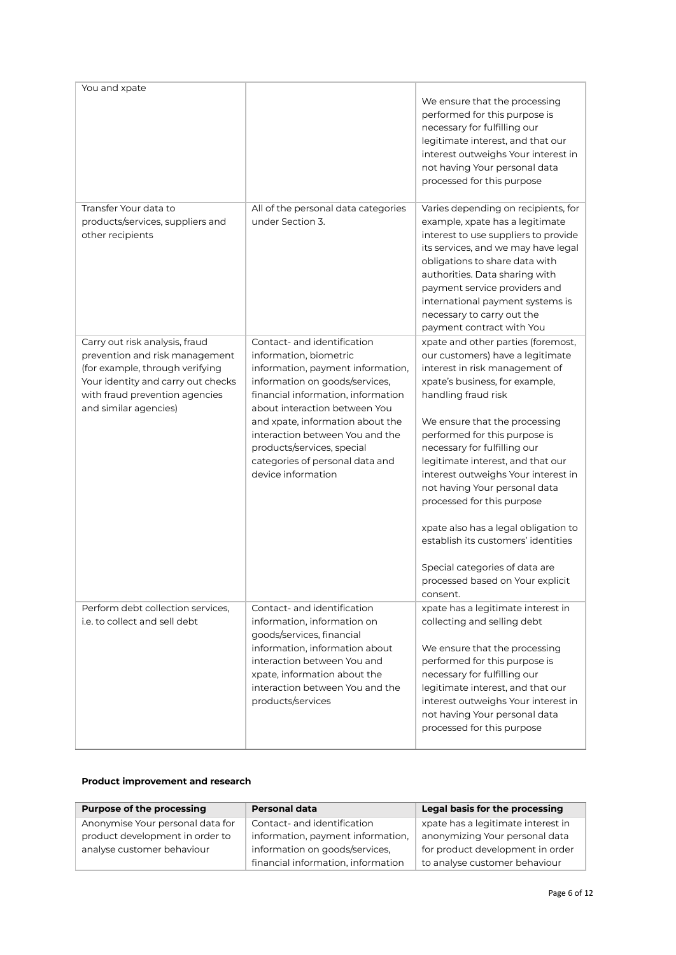| You and xpate                                                                                                                                                                                        |                                                                                                                                                                                                                                                                                                                                                                   | We ensure that the processing<br>performed for this purpose is<br>necessary for fulfilling our<br>legitimate interest, and that our<br>interest outweighs Your interest in<br>not having Your personal data<br>processed for this purpose                                                                                                                                                                                                                                                                                                                                       |
|------------------------------------------------------------------------------------------------------------------------------------------------------------------------------------------------------|-------------------------------------------------------------------------------------------------------------------------------------------------------------------------------------------------------------------------------------------------------------------------------------------------------------------------------------------------------------------|---------------------------------------------------------------------------------------------------------------------------------------------------------------------------------------------------------------------------------------------------------------------------------------------------------------------------------------------------------------------------------------------------------------------------------------------------------------------------------------------------------------------------------------------------------------------------------|
| Transfer Your data to<br>products/services, suppliers and<br>other recipients                                                                                                                        | All of the personal data categories<br>under Section 3.                                                                                                                                                                                                                                                                                                           | Varies depending on recipients, for<br>example, xpate has a legitimate<br>interest to use suppliers to provide<br>its services, and we may have legal<br>obligations to share data with<br>authorities. Data sharing with<br>payment service providers and<br>international payment systems is<br>necessary to carry out the<br>payment contract with You                                                                                                                                                                                                                       |
| Carry out risk analysis, fraud<br>prevention and risk management<br>(for example, through verifying<br>Your identity and carry out checks<br>with fraud prevention agencies<br>and similar agencies) | Contact- and identification<br>information, biometric<br>information, payment information,<br>information on goods/services,<br>financial information, information<br>about interaction between You<br>and xpate, information about the<br>interaction between You and the<br>products/services, special<br>categories of personal data and<br>device information | xpate and other parties (foremost,<br>our customers) have a legitimate<br>interest in risk management of<br>xpate's business, for example,<br>handling fraud risk<br>We ensure that the processing<br>performed for this purpose is<br>necessary for fulfilling our<br>legitimate interest, and that our<br>interest outweighs Your interest in<br>not having Your personal data<br>processed for this purpose<br>xpate also has a legal obligation to<br>establish its customers' identities<br>Special categories of data are<br>processed based on Your explicit<br>consent. |
| Perform debt collection services,<br>i.e. to collect and sell debt.                                                                                                                                  | Contact- and identification<br>information, information on<br>goods/services, financial<br>information, information about<br>interaction between You and<br>xpate, information about the<br>interaction between You and the<br>products/services                                                                                                                  | xpate has a legitimate interest in<br>collecting and selling debt<br>We ensure that the processing<br>performed for this purpose is<br>necessary for fulfilling our<br>legitimate interest, and that our<br>interest outweighs Your interest in<br>not having Your personal data<br>processed for this purpose                                                                                                                                                                                                                                                                  |

## **Product improvement and research**

| <b>Purpose of the processing</b> | <b>Personal data</b>               | Legal basis for the processing     |
|----------------------------------|------------------------------------|------------------------------------|
| Anonymise Your personal data for | Contact- and identification        | xpate has a legitimate interest in |
| product development in order to  | information, payment information,  | anonymizing Your personal data     |
| analyse customer behaviour       | information on goods/services.     | for product development in order   |
|                                  | financial information, information | to analyse customer behaviour      |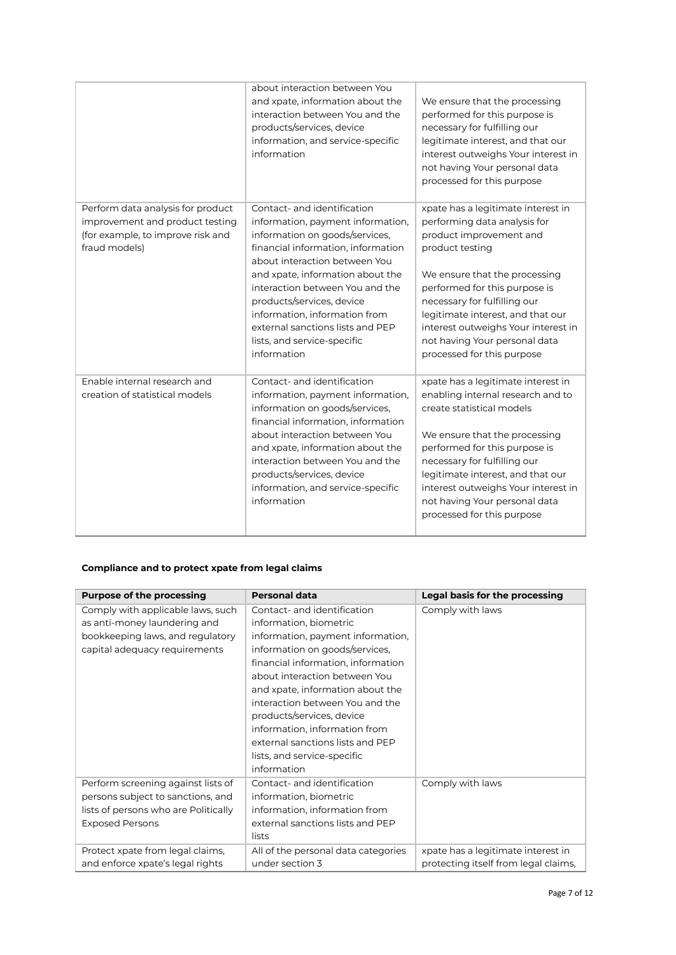|                                                                                                                            | about interaction between You<br>and xpate, information about the<br>interaction between You and the<br>products/services, device<br>information, and service-specific<br>information                                                                                                                                                                                                            | We ensure that the processing<br>performed for this purpose is<br>necessary for fulfilling our<br>legitimate interest, and that our<br>interest outweighs Your interest in<br>not having Your personal data<br>processed for this purpose                                                                                                                     |
|----------------------------------------------------------------------------------------------------------------------------|--------------------------------------------------------------------------------------------------------------------------------------------------------------------------------------------------------------------------------------------------------------------------------------------------------------------------------------------------------------------------------------------------|---------------------------------------------------------------------------------------------------------------------------------------------------------------------------------------------------------------------------------------------------------------------------------------------------------------------------------------------------------------|
| Perform data analysis for product<br>improvement and product testing<br>(for example, to improve risk and<br>fraud models) | Contact- and identification<br>information, payment information,<br>information on goods/services,<br>financial information, information<br>about interaction between You<br>and xpate, information about the<br>interaction between You and the<br>products/services, device<br>information, information from<br>external sanctions lists and PEP<br>lists, and service-specific<br>information | xpate has a legitimate interest in<br>performing data analysis for<br>product improvement and<br>product testing<br>We ensure that the processing<br>performed for this purpose is<br>necessary for fulfilling our<br>legitimate interest, and that our<br>interest outweighs Your interest in<br>not having Your personal data<br>processed for this purpose |
| Enable internal research and<br>creation of statistical models                                                             | Contact- and identification<br>information, payment information,<br>information on goods/services,<br>financial information, information<br>about interaction between You<br>and xpate, information about the<br>interaction between You and the<br>products/services, device<br>information, and service-specific<br>information                                                                | xpate has a legitimate interest in<br>enabling internal research and to<br>create statistical models<br>We ensure that the processing<br>performed for this purpose is<br>necessary for fulfilling our<br>legitimate interest, and that our<br>interest outweighs Your interest in<br>not having Your personal data<br>processed for this purpose             |

## **Compliance and to protect xpate from legal claims**

| <b>Purpose of the processing</b>                                                                                                          | <b>Personal data</b>                                                                                                                                                                                                                                                                                                                     | Legal basis for the processing                                             |
|-------------------------------------------------------------------------------------------------------------------------------------------|------------------------------------------------------------------------------------------------------------------------------------------------------------------------------------------------------------------------------------------------------------------------------------------------------------------------------------------|----------------------------------------------------------------------------|
| Comply with applicable laws, such<br>as anti-money laundering and<br>bookkeeping laws, and regulatory<br>capital adequacy requirements    | Contact- and identification<br>information, biometric<br>information, payment information,<br>information on goods/services,<br>financial information, information<br>about interaction between You<br>and xpate, information about the<br>interaction between You and the<br>products/services, device<br>information, information from | Comply with laws                                                           |
|                                                                                                                                           | external sanctions lists and PEP<br>lists, and service-specific<br>information                                                                                                                                                                                                                                                           |                                                                            |
| Perform screening against lists of<br>persons subject to sanctions, and<br>lists of persons who are Politically<br><b>Exposed Persons</b> | Contact- and identification<br>information, biometric<br>information, information from<br>external sanctions lists and PEP<br>lists                                                                                                                                                                                                      | Comply with laws                                                           |
| Protect xpate from legal claims,<br>and enforce xpate's legal rights                                                                      | All of the personal data categories<br>under section 3                                                                                                                                                                                                                                                                                   | xpate has a legitimate interest in<br>protecting itself from legal claims, |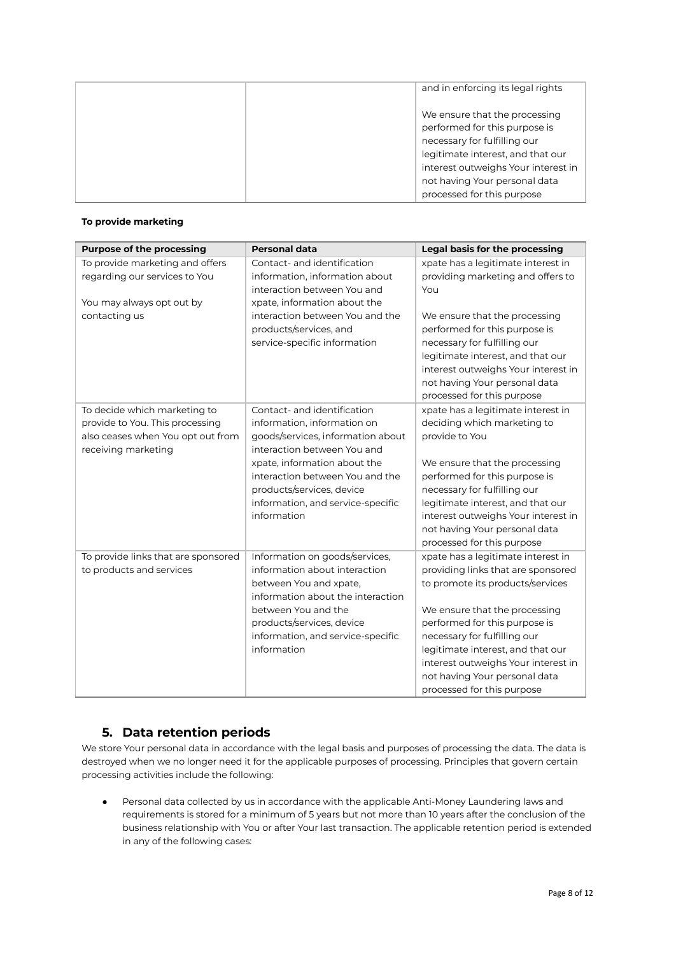| and in enforcing its legal rights                                                                                                   |
|-------------------------------------------------------------------------------------------------------------------------------------|
| We ensure that the processing<br>performed for this purpose is<br>necessary for fulfilling our<br>legitimate interest, and that our |
| interest outweighs Your interest in                                                                                                 |
| not having Your personal data                                                                                                       |
| processed for this purpose                                                                                                          |

## **To provide marketing**

| <b>Purpose of the processing</b>                                                                                            | <b>Personal data</b>                                                                                                                                                                                                                                                               | Legal basis for the processing                                                                                                                                                                                                                                                                                                                            |
|-----------------------------------------------------------------------------------------------------------------------------|------------------------------------------------------------------------------------------------------------------------------------------------------------------------------------------------------------------------------------------------------------------------------------|-----------------------------------------------------------------------------------------------------------------------------------------------------------------------------------------------------------------------------------------------------------------------------------------------------------------------------------------------------------|
| To provide marketing and offers<br>regarding our services to You<br>You may always opt out by                               | Contact- and identification<br>information, information about<br>interaction between You and<br>xpate, information about the                                                                                                                                                       | xpate has a legitimate interest in<br>providing marketing and offers to<br>You                                                                                                                                                                                                                                                                            |
| contacting us                                                                                                               | interaction between You and the<br>products/services, and<br>service-specific information                                                                                                                                                                                          | We ensure that the processing<br>performed for this purpose is<br>necessary for fulfilling our<br>legitimate interest, and that our<br>interest outweighs Your interest in<br>not having Your personal data<br>processed for this purpose                                                                                                                 |
| To decide which marketing to<br>provide to You. This processing<br>also ceases when You opt out from<br>receiving marketing | Contact- and identification<br>information, information on<br>goods/services, information about<br>interaction between You and<br>xpate, information about the<br>interaction between You and the<br>products/services, device<br>information, and service-specific<br>information | xpate has a legitimate interest in<br>deciding which marketing to<br>provide to You<br>We ensure that the processing<br>performed for this purpose is<br>necessary for fulfilling our<br>legitimate interest, and that our<br>interest outweighs Your interest in<br>not having Your personal data<br>processed for this purpose                          |
| To provide links that are sponsored<br>to products and services                                                             | Information on goods/services,<br>information about interaction<br>between You and xpate,<br>information about the interaction<br>between You and the<br>products/services, device<br>information, and service-specific<br>information                                             | xpate has a legitimate interest in<br>providing links that are sponsored<br>to promote its products/services<br>We ensure that the processing<br>performed for this purpose is<br>necessary for fulfilling our<br>legitimate interest, and that our<br>interest outweighs Your interest in<br>not having Your personal data<br>processed for this purpose |

# **5. Data retention periods**

We store Your personal data in accordance with the legal basis and purposes of processing the data. The data is destroyed when we no longer need it for the applicable purposes of processing. Principles that govern certain processing activities include the following:

● Personal data collected by us in accordance with the applicable Anti-Money Laundering laws and requirements is stored for a minimum of 5 years but not more than 10 years after the conclusion of the business relationship with You or after Your last transaction. The applicable retention period is extended in any of the following cases: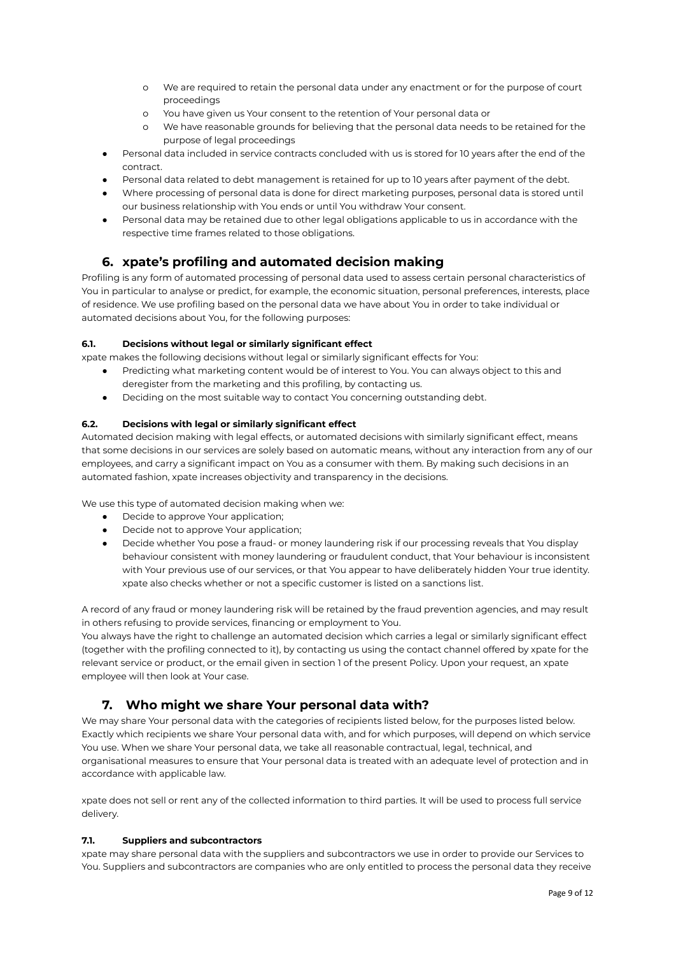- o We are required to retain the personal data under any enactment or for the purpose of court proceedings
- o You have given us Your consent to the retention of Your personal data or
- We have reasonable grounds for believing that the personal data needs to be retained for the purpose of legal proceedings
- Personal data included in service contracts concluded with us is stored for 10 years after the end of the contract.
- Personal data related to debt management is retained for up to 10 years after payment of the debt.
- Where processing of personal data is done for direct marketing purposes, personal data is stored until our business relationship with You ends or until You withdraw Your consent.
- Personal data may be retained due to other legal obligations applicable to us in accordance with the respective time frames related to those obligations.

# **6. xpate's profiling and automated decision making**

Profiling is any form of automated processing of personal data used to assess certain personal characteristics of You in particular to analyse or predict, for example, the economic situation, personal preferences, interests, place of residence. We use profiling based on the personal data we have about You in order to take individual or automated decisions about You, for the following purposes:

## **6.1. Decisions without legal or similarly significant effect**

xpate makes the following decisions without legal or similarly significant effects for You:

- Predicting what marketing content would be of interest to You. You can always object to this and deregister from the marketing and this profiling, by contacting us.
- Deciding on the most suitable way to contact You concerning outstanding debt.

## **6.2. Decisions with legal or similarly significant effect**

Automated decision making with legal effects, or automated decisions with similarly significant effect, means that some decisions in our services are solely based on automatic means, without any interaction from any of our employees, and carry a significant impact on You as a consumer with them. By making such decisions in an automated fashion, xpate increases objectivity and transparency in the decisions.

We use this type of automated decision making when we:

- Decide to approve Your application;
- Decide not to approve Your application;
- Decide whether You pose a fraud- or money laundering risk if our processing reveals that You display behaviour consistent with money laundering or fraudulent conduct, that Your behaviour is inconsistent with Your previous use of our services, or that You appear to have deliberately hidden Your true identity. xpate also checks whether or not a specific customer is listed on a sanctions list.

A record of any fraud or money laundering risk will be retained by the fraud prevention agencies, and may result in others refusing to provide services, financing or employment to You.

You always have the right to challenge an automated decision which carries a legal or similarly significant effect (together with the profiling connected to it), by contacting us using the contact channel offered by xpate for the relevant service or product, or the email given in section 1 of the present Policy. Upon your request, an xpate employee will then look at Your case.

# **7. Who might we share Your personal data with?**

We may share Your personal data with the categories of recipients listed below, for the purposes listed below. Exactly which recipients we share Your personal data with, and for which purposes, will depend on which service You use. When we share Your personal data, we take all reasonable contractual, legal, technical, and organisational measures to ensure that Your personal data is treated with an adequate level of protection and in accordance with applicable law.

xpate does not sell or rent any of the collected information to third parties. It will be used to process full service delivery.

#### **7.1. Suppliers and subcontractors**

xpate may share personal data with the suppliers and subcontractors we use in order to provide our Services to You. Suppliers and subcontractors are companies who are only entitled to process the personal data they receive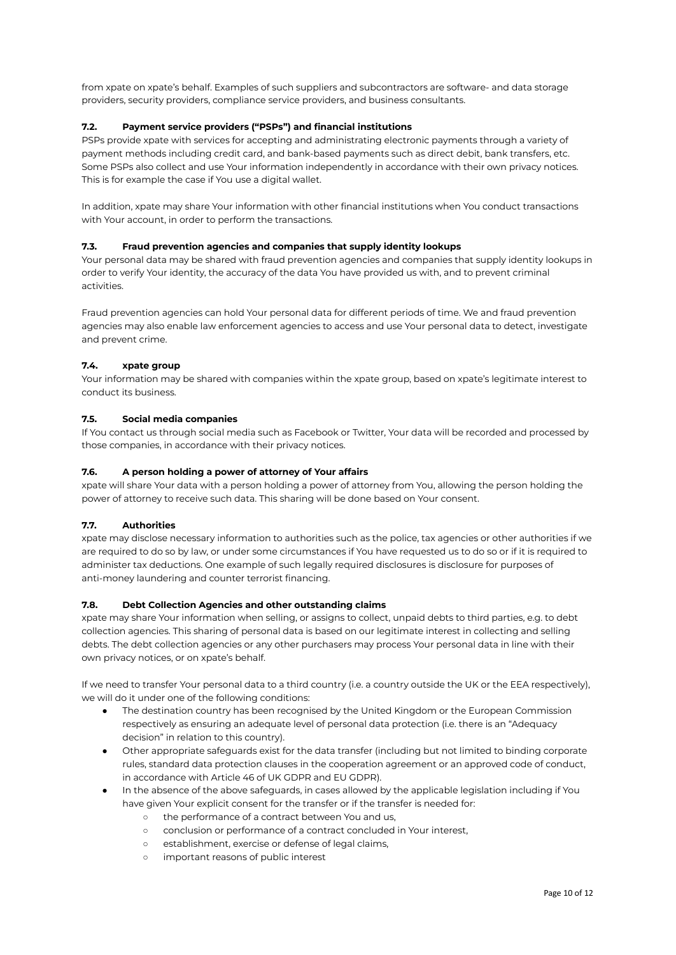from xpate on xpate's behalf. Examples of such suppliers and subcontractors are software- and data storage providers, security providers, compliance service providers, and business consultants.

## **7.2. Payment service providers ("PSPs") and financial institutions**

PSPs provide xpate with services for accepting and administrating electronic payments through a variety of payment methods including credit card, and bank-based payments such as direct debit, bank transfers, etc. Some PSPs also collect and use Your information independently in accordance with their own privacy notices. This is for example the case if You use a digital wallet.

In addition, xpate may share Your information with other financial institutions when You conduct transactions with Your account, in order to perform the transactions.

#### **7.3. Fraud prevention agencies and companies that supply identity lookups**

Your personal data may be shared with fraud prevention agencies and companies that supply identity lookups in order to verify Your identity, the accuracy of the data You have provided us with, and to prevent criminal activities.

Fraud prevention agencies can hold Your personal data for different periods of time. We and fraud prevention agencies may also enable law enforcement agencies to access and use Your personal data to detect, investigate and prevent crime.

#### **7.4. xpate group**

Your information may be shared with companies within the xpate group, based on xpate's legitimate interest to conduct its business.

#### **7.5. Social media companies**

If You contact us through social media such as Facebook or Twitter, Your data will be recorded and processed by those companies, in accordance with their privacy notices.

### **7.6. A person holding a power of attorney of Your affairs**

xpate will share Your data with a person holding a power of attorney from You, allowing the person holding the power of attorney to receive such data. This sharing will be done based on Your consent.

#### **7.7. Authorities**

xpate may disclose necessary information to authorities such as the police, tax agencies or other authorities if we are required to do so by law, or under some circumstances if You have requested us to do so or if it is required to administer tax deductions. One example of such legally required disclosures is disclosure for purposes of anti-money laundering and counter terrorist financing.

#### **7.8. Debt Collection Agencies and other outstanding claims**

xpate may share Your information when selling, or assigns to collect, unpaid debts to third parties, e.g. to debt collection agencies. This sharing of personal data is based on our legitimate interest in collecting and selling debts. The debt collection agencies or any other purchasers may process Your personal data in line with their own privacy notices, or on xpate's behalf.

If we need to transfer Your personal data to a third country (i.e. a country outside the UK or the EEA respectively), we will do it under one of the following conditions:

- The destination country has been recognised by the United Kingdom or the European Commission respectively as ensuring an adequate level of personal data protection (i.e. there is an "Adequacy decision" in relation to this country).
- Other appropriate safeguards exist for the data transfer (including but not limited to binding corporate rules, standard data protection clauses in the cooperation agreement or an approved code of conduct, in accordance with Article 46 of UK GDPR and EU GDPR).
- In the absence of the above safeguards, in cases allowed by the applicable legislation including if You have given Your explicit consent for the transfer or if the transfer is needed for:
	- o the performance of a contract between You and us,
	- conclusion or performance of a contract concluded in Your interest,
	- establishment, exercise or defense of legal claims,
	- important reasons of public interest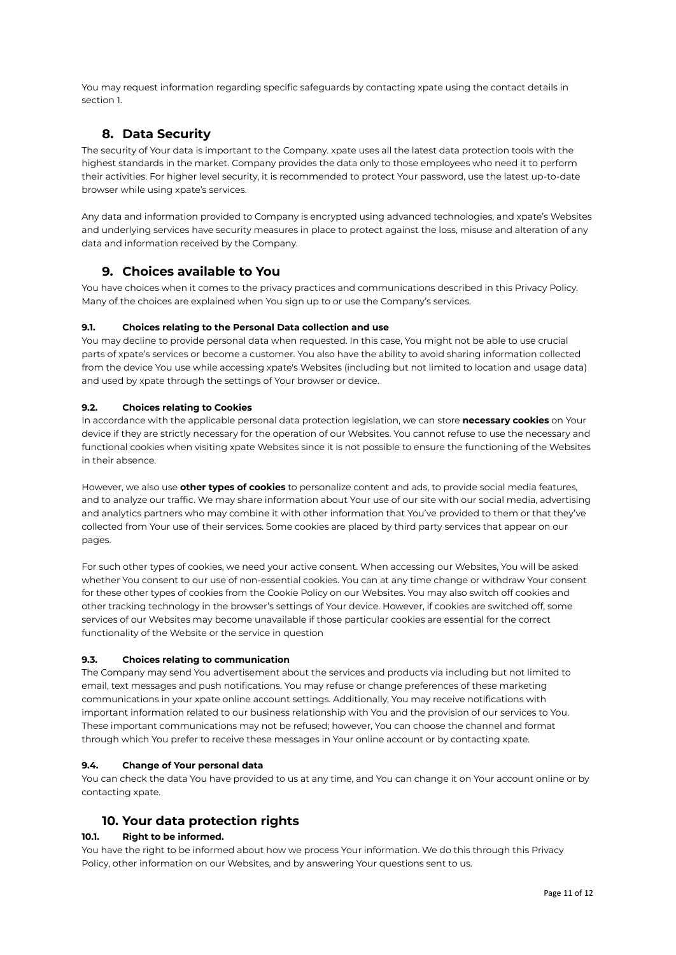You may request information regarding specific safeguards by contacting xpate using the contact details in section 1.

## **8. Data Security**

The security of Your data is important to the Company. xpate uses all the latest data protection tools with the highest standards in the market. Company provides the data only to those employees who need it to perform their activities. For higher level security, it is recommended to protect Your password, use the latest up-to-date browser while using xpate's services.

Any data and information provided to Company is encrypted using advanced technologies, and xpate's Websites and underlying services have security measures in place to protect against the loss, misuse and alteration of any data and information received by the Company.

## **9. Choices available to You**

You have choices when it comes to the privacy practices and communications described in this Privacy Policy. Many of the choices are explained when You sign up to or use the Company's services.

## **9.1. Choices relating to the Personal Data collection and use**

You may decline to provide personal data when requested. In this case, You might not be able to use crucial parts of xpate's services or become a customer. You also have the ability to avoid sharing information collected from the device You use while accessing xpate's Websites (including but not limited to location and usage data) and used by xpate through the settings of Your browser or device.

## **9.2. Choices relating to Cookies**

In accordance with the applicable personal data protection legislation, we can store **necessary cookies** on Your device if they are strictly necessary for the operation of our Websites. You cannot refuse to use the necessary and functional cookies when visiting xpate Websites since it is not possible to ensure the functioning of the Websites in their absence.

However, we also use **other types of cookies** to personalize content and ads, to provide social media features, and to analyze our traffic. We may share information about Your use of our site with our social media, advertising and analytics partners who may combine it with other information that You've provided to them or that they've collected from Your use of their services. Some cookies are placed by third party services that appear on our pages.

For such other types of cookies, we need your active consent. When accessing our Websites, You will be asked whether You consent to our use of non-essential cookies. You can at any time change or withdraw Your consent for these other types of cookies from the Cookie Policy on our Websites. You may also switch off cookies and other tracking technology in the browser's settings of Your device. However, if cookies are switched off, some services of our Websites may become unavailable if those particular cookies are essential for the correct functionality of the Website or the service in question

#### **9.3. Choices relating to communication**

The Company may send You advertisement about the services and products via including but not limited to email, text messages and push notifications. You may refuse or change preferences of these marketing communications in your xpate online account settings. Additionally, You may receive notifications with important information related to our business relationship with You and the provision of our services to You. These important communications may not be refused; however, You can choose the channel and format through which You prefer to receive these messages in Your online account or by contacting xpate.

#### **9.4. Change of Your personal data**

You can check the data You have provided to us at any time, and You can change it on Your account online or by contacting xpate.

# **10. Your data protection rights**

## **10.1. Right to be informed.**

You have the right to be informed about how we process Your information. We do this through this Privacy Policy, other information on our Websites, and by answering Your questions sent to us.